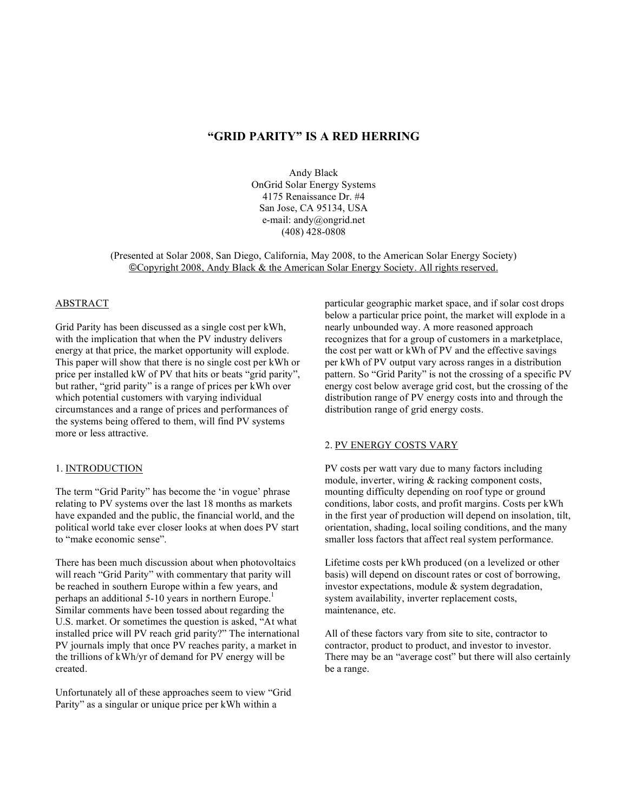# **"GRID PARITY" IS A RED HERRING**

Andy Black OnGrid Solar Energy Systems 4175 Renaissance Dr. #4 San Jose, CA 95134, USA e-mail: andy@ongrid.net (408) 428-0808

(Presented at Solar 2008, San Diego, California, May 2008, to the American Solar Energy Society) !Copyright 2008, Andy Black & the American Solar Energy Society. All rights reserved.

## ABSTRACT

Grid Parity has been discussed as a single cost per kWh, with the implication that when the PV industry delivers energy at that price, the market opportunity will explode. This paper will show that there is no single cost per kWh or price per installed kW of PV that hits or beats "grid parity", but rather, "grid parity" is a range of prices per kWh over which potential customers with varying individual circumstances and a range of prices and performances of the systems being offered to them, will find PV systems more or less attractive.

#### 1. INTRODUCTION

The term "Grid Parity" has become the 'in vogue' phrase relating to PV systems over the last 18 months as markets have expanded and the public, the financial world, and the political world take ever closer looks at when does PV start to "make economic sense".

There has been much discussion about when photovoltaics will reach "Grid Parity" with commentary that parity will be reached in southern Europe within a few years, and perhaps an additional 5-10 years in northern Europe.<sup>1</sup> Similar comments have been tossed about regarding the U.S. market. Or sometimes the question is asked, "At what installed price will PV reach grid parity?" The international PV journals imply that once PV reaches parity, a market in the trillions of kWh/yr of demand for PV energy will be created.

Unfortunately all of these approaches seem to view "Grid Parity" as a singular or unique price per kWh within a

particular geographic market space, and if solar cost drops below a particular price point, the market will explode in a nearly unbounded way. A more reasoned approach recognizes that for a group of customers in a marketplace, the cost per watt or kWh of PV and the effective savings per kWh of PV output vary across ranges in a distribution pattern. So "Grid Parity" is not the crossing of a specific PV energy cost below average grid cost, but the crossing of the distribution range of PV energy costs into and through the distribution range of grid energy costs.

# 2. PV ENERGY COSTS VARY

PV costs per watt vary due to many factors including module, inverter, wiring & racking component costs, mounting difficulty depending on roof type or ground conditions, labor costs, and profit margins. Costs per kWh in the first year of production will depend on insolation, tilt, orientation, shading, local soiling conditions, and the many smaller loss factors that affect real system performance.

Lifetime costs per kWh produced (on a levelized or other basis) will depend on discount rates or cost of borrowing, investor expectations, module & system degradation, system availability, inverter replacement costs, maintenance, etc.

All of these factors vary from site to site, contractor to contractor, product to product, and investor to investor. There may be an "average cost" but there will also certainly be a range.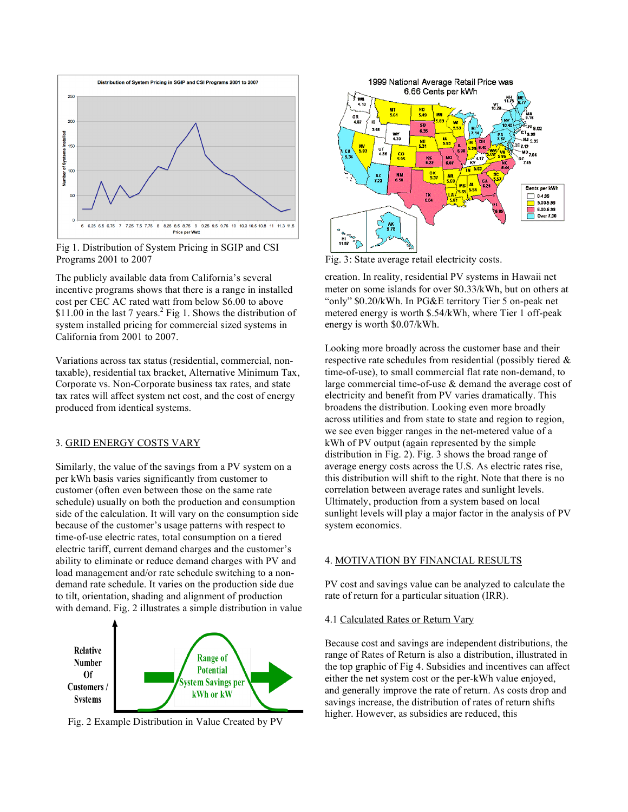

Fig 1. Distribution of System Pricing in SGIP and CSI Programs 2001 to 2007 Fig. 3: State average retail electricity costs.

The publicly available data from California's several incentive programs shows that there is a range in installed cost per CEC AC rated watt from below \$6.00 to above \$11.00 in the last 7 years.<sup>2</sup> Fig 1. Shows the distribution of system installed pricing for commercial sized systems in California from 2001 to 2007.

Variations across tax status (residential, commercial, nontaxable), residential tax bracket, Alternative Minimum Tax, Corporate vs. Non-Corporate business tax rates, and state tax rates will affect system net cost, and the cost of energy produced from identical systems.

## 3. GRID ENERGY COSTS VARY

Similarly, the value of the savings from a PV system on a per kWh basis varies significantly from customer to customer (often even between those on the same rate schedule) usually on both the production and consumption side of the calculation. It will vary on the consumption side because of the customer's usage patterns with respect to time-of-use electric rates, total consumption on a tiered electric tariff, current demand charges and the customer's ability to eliminate or reduce demand charges with PV and load management and/or rate schedule switching to a nondemand rate schedule. It varies on the production side due to tilt, orientation, shading and alignment of production with demand. Fig. 2 illustrates a simple distribution in value







creation. In reality, residential PV systems in Hawaii net meter on some islands for over \$0.33/kWh, but on others at "only" \$0.20/kWh. In PG&E territory Tier 5 on-peak net metered energy is worth \$.54/kWh, where Tier 1 off-peak energy is worth \$0.07/kWh.

Looking more broadly across the customer base and their respective rate schedules from residential (possibly tiered & time-of-use), to small commercial flat rate non-demand, to large commercial time-of-use & demand the average cost of electricity and benefit from PV varies dramatically. This broadens the distribution. Looking even more broadly across utilities and from state to state and region to region, we see even bigger ranges in the net-metered value of a kWh of PV output (again represented by the simple distribution in Fig. 2). Fig. 3 shows the broad range of average energy costs across the U.S. As electric rates rise, this distribution will shift to the right. Note that there is no correlation between average rates and sunlight levels. Ultimately, production from a system based on local sunlight levels will play a major factor in the analysis of PV system economics.

### 4. MOTIVATION BY FINANCIAL RESULTS

PV cost and savings value can be analyzed to calculate the rate of return for a particular situation (IRR).

# 4.1 Calculated Rates or Return Vary

Because cost and savings are independent distributions, the range of Rates of Return is also a distribution, illustrated in the top graphic of Fig 4. Subsidies and incentives can affect either the net system cost or the per-kWh value enjoyed, and generally improve the rate of return. As costs drop and savings increase, the distribution of rates of return shifts higher. However, as subsidies are reduced, this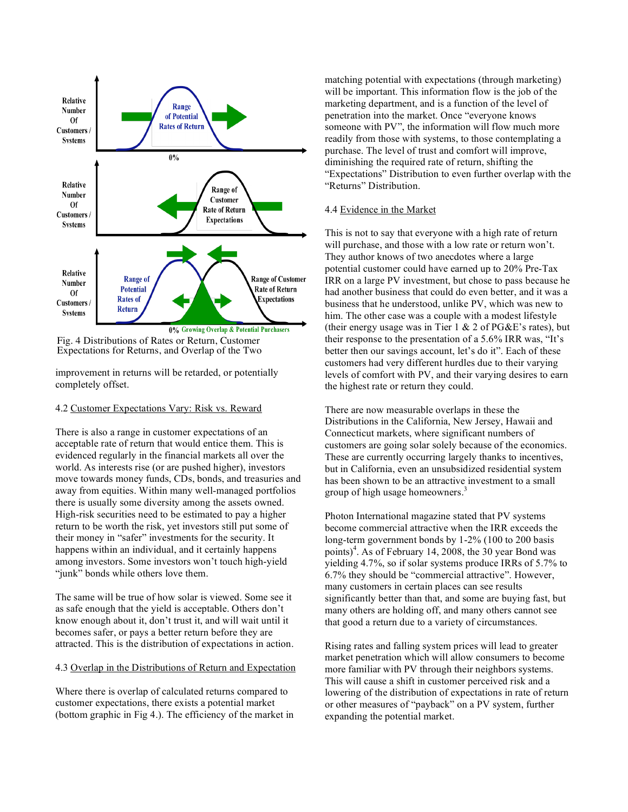

Fig. 4 Distributions of Rates or Return, Customer Expectations for Returns, and Overlap of the Two

improvement in returns will be retarded, or potentially completely offset.

### 4.2 Customer Expectations Vary: Risk vs. Reward

There is also a range in customer expectations of an acceptable rate of return that would entice them. This is evidenced regularly in the financial markets all over the world. As interests rise (or are pushed higher), investors move towards money funds, CDs, bonds, and treasuries and away from equities. Within many well-managed portfolios there is usually some diversity among the assets owned. High-risk securities need to be estimated to pay a higher return to be worth the risk, yet investors still put some of their money in "safer" investments for the security. It happens within an individual, and it certainly happens among investors. Some investors won't touch high-yield "junk" bonds while others love them.

The same will be true of how solar is viewed. Some see it as safe enough that the yield is acceptable. Others don't know enough about it, don't trust it, and will wait until it becomes safer, or pays a better return before they are attracted. This is the distribution of expectations in action.

#### 4.3 Overlap in the Distributions of Return and Expectation

Where there is overlap of calculated returns compared to customer expectations, there exists a potential market (bottom graphic in Fig 4.). The efficiency of the market in matching potential with expectations (through marketing) will be important. This information flow is the job of the marketing department, and is a function of the level of penetration into the market. Once "everyone knows someone with PV", the information will flow much more readily from those with systems, to those contemplating a purchase. The level of trust and comfort will improve, diminishing the required rate of return, shifting the "Expectations" Distribution to even further overlap with the "Returns" Distribution.

# 4.4 Evidence in the Market

This is not to say that everyone with a high rate of return will purchase, and those with a low rate or return won't. They author knows of two anecdotes where a large potential customer could have earned up to 20% Pre-Tax IRR on a large PV investment, but chose to pass because he had another business that could do even better, and it was a business that he understood, unlike PV, which was new to him. The other case was a couple with a modest lifestyle (their energy usage was in Tier  $1 \& 2$  of PG&E's rates), but their response to the presentation of a 5.6% IRR was, "It's better then our savings account, let's do it". Each of these customers had very different hurdles due to their varying levels of comfort with PV, and their varying desires to earn the highest rate or return they could.

There are now measurable overlaps in these the Distributions in the California, New Jersey, Hawaii and Connecticut markets, where significant numbers of customers are going solar solely because of the economics. These are currently occurring largely thanks to incentives, but in California, even an unsubsidized residential system has been shown to be an attractive investment to a small group of high usage homeowners. 3

Photon International magazine stated that PV systems become commercial attractive when the IRR exceeds the long-term government bonds by 1-2% (100 to 200 basis points) 4 . As of February 14, 2008, the 30 year Bond was yielding 4.7%, so if solar systems produce IRRs of 5.7% to 6.7% they should be "commercial attractive". However, many customers in certain places can see results significantly better than that, and some are buying fast, but many others are holding off, and many others cannot see that good a return due to a variety of circumstances.

Rising rates and falling system prices will lead to greater market penetration which will allow consumers to become more familiar with PV through their neighbors systems. This will cause a shift in customer perceived risk and a lowering of the distribution of expectations in rate of return or other measures of "payback" on a PV system, further expanding the potential market.